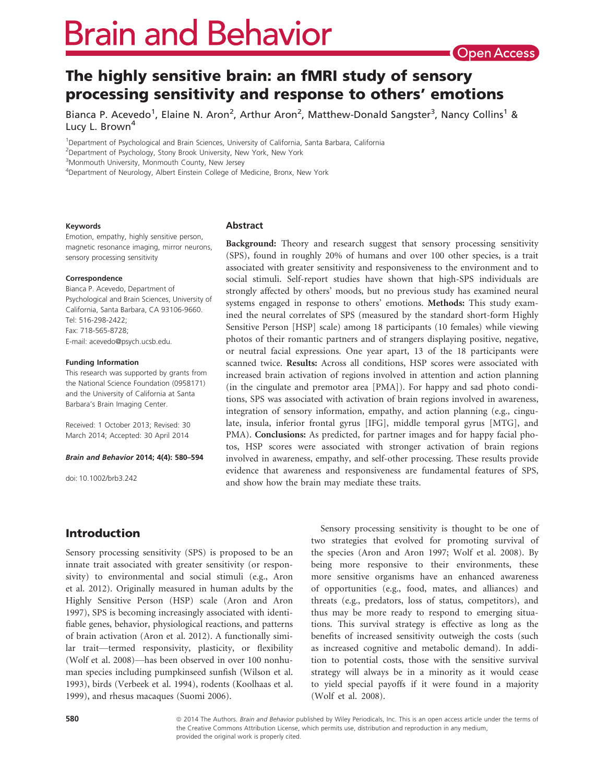# **Brain and Behavior**

## The highly sensitive brain: an fMRI study of sensory processing sensitivity and response to others' emotions

Bianca P. Acevedo<sup>1</sup>, Elaine N. Aron<sup>2</sup>, Arthur Aron<sup>2</sup>, Matthew-Donald Sangster<sup>3</sup>, Nancy Collins<sup>1</sup> & Lucy L. Brown<sup>4</sup>

<sup>1</sup>Department of Psychological and Brain Sciences, University of California, Santa Barbara, California

<sup>3</sup>Monmouth University, Monmouth County, New Jersey

<sup>4</sup>Department of Neurology, Albert Einstein College of Medicine, Bronx, New York

#### Keywords

Emotion, empathy, highly sensitive person, magnetic resonance imaging, mirror neurons, sensory processing sensitivity

#### Correspondence

Bianca P. Acevedo, Department of Psychological and Brain Sciences, University of California, Santa Barbara, CA 93106-9660. Tel: 516-298-2422; Fax: 718-565-8728; E-mail: acevedo@psych.ucsb.edu.

#### Funding Information

This research was supported by grants from the National Science Foundation (0958171) and the University of California at Santa Barbara's Brain Imaging Center.

Received: 1 October 2013; Revised: 30 March 2014; Accepted: 30 April 2014

#### Brain and Behavior 2014; 4(4): 580–594

doi: 10.1002/brb3.242

#### Abstract

Background: Theory and research suggest that sensory processing sensitivity (SPS), found in roughly 20% of humans and over 100 other species, is a trait associated with greater sensitivity and responsiveness to the environment and to social stimuli. Self-report studies have shown that high-SPS individuals are strongly affected by others' moods, but no previous study has examined neural systems engaged in response to others' emotions. Methods: This study examined the neural correlates of SPS (measured by the standard short-form Highly Sensitive Person [HSP] scale) among 18 participants (10 females) while viewing photos of their romantic partners and of strangers displaying positive, negative, or neutral facial expressions. One year apart, 13 of the 18 participants were scanned twice. Results: Across all conditions, HSP scores were associated with increased brain activation of regions involved in attention and action planning (in the cingulate and premotor area [PMA]). For happy and sad photo conditions, SPS was associated with activation of brain regions involved in awareness, integration of sensory information, empathy, and action planning (e.g., cingulate, insula, inferior frontal gyrus [IFG], middle temporal gyrus [MTG], and PMA). Conclusions: As predicted, for partner images and for happy facial photos, HSP scores were associated with stronger activation of brain regions involved in awareness, empathy, and self-other processing. These results provide evidence that awareness and responsiveness are fundamental features of SPS, and show how the brain may mediate these traits.

Introduction

Sensory processing sensitivity (SPS) is proposed to be an innate trait associated with greater sensitivity (or responsivity) to environmental and social stimuli (e.g., Aron et al. 2012). Originally measured in human adults by the Highly Sensitive Person (HSP) scale (Aron and Aron 1997), SPS is becoming increasingly associated with identifiable genes, behavior, physiological reactions, and patterns of brain activation (Aron et al. 2012). A functionally similar trait—termed responsivity, plasticity, or flexibility (Wolf et al. 2008)—has been observed in over 100 nonhuman species including pumpkinseed sunfish (Wilson et al. 1993), birds (Verbeek et al. 1994), rodents (Koolhaas et al. 1999), and rhesus macaques (Suomi 2006).

Sensory processing sensitivity is thought to be one of two strategies that evolved for promoting survival of the species (Aron and Aron 1997; Wolf et al. 2008). By being more responsive to their environments, these more sensitive organisms have an enhanced awareness of opportunities (e.g., food, mates, and alliances) and threats (e.g., predators, loss of status, competitors), and thus may be more ready to respond to emerging situations. This survival strategy is effective as long as the benefits of increased sensitivity outweigh the costs (such as increased cognitive and metabolic demand). In addition to potential costs, those with the sensitive survival strategy will always be in a minority as it would cease to yield special payoffs if it were found in a majority (Wolf et al. 2008).

580 **680** 2014 The Authors. Brain and Behavior published by Wiley Periodicals, Inc. This is an open access article under the terms of the Creative Commons Attribution License, which permits use, distribution and reproduction in any medium, provided the original work is properly cited.

<sup>&</sup>lt;sup>2</sup>Department of Psychology, Stony Brook University, New York, New York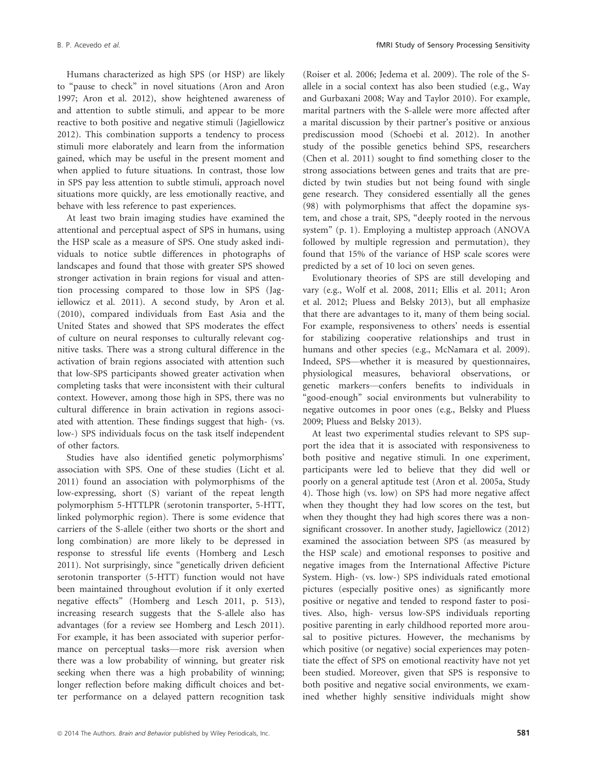Humans characterized as high SPS (or HSP) are likely to "pause to check" in novel situations (Aron and Aron 1997; Aron et al. 2012), show heightened awareness of and attention to subtle stimuli, and appear to be more reactive to both positive and negative stimuli (Jagiellowicz 2012). This combination supports a tendency to process stimuli more elaborately and learn from the information gained, which may be useful in the present moment and when applied to future situations. In contrast, those low in SPS pay less attention to subtle stimuli, approach novel situations more quickly, are less emotionally reactive, and behave with less reference to past experiences.

At least two brain imaging studies have examined the attentional and perceptual aspect of SPS in humans, using the HSP scale as a measure of SPS. One study asked individuals to notice subtle differences in photographs of landscapes and found that those with greater SPS showed stronger activation in brain regions for visual and attention processing compared to those low in SPS (Jagiellowicz et al. 2011). A second study, by Aron et al. (2010), compared individuals from East Asia and the United States and showed that SPS moderates the effect of culture on neural responses to culturally relevant cognitive tasks. There was a strong cultural difference in the activation of brain regions associated with attention such that low-SPS participants showed greater activation when completing tasks that were inconsistent with their cultural context. However, among those high in SPS, there was no cultural difference in brain activation in regions associated with attention. These findings suggest that high- (vs. low-) SPS individuals focus on the task itself independent of other factors.

Studies have also identified genetic polymorphisms' association with SPS. One of these studies (Licht et al. 2011) found an association with polymorphisms of the low-expressing, short (S) variant of the repeat length polymorphism 5-HTTLPR (serotonin transporter, 5-HTT, linked polymorphic region). There is some evidence that carriers of the S-allele (either two shorts or the short and long combination) are more likely to be depressed in response to stressful life events (Homberg and Lesch 2011). Not surprisingly, since "genetically driven deficient serotonin transporter (5-HTT) function would not have been maintained throughout evolution if it only exerted negative effects" (Homberg and Lesch 2011, p. 513), increasing research suggests that the S-allele also has advantages (for a review see Homberg and Lesch 2011). For example, it has been associated with superior performance on perceptual tasks—more risk aversion when there was a low probability of winning, but greater risk seeking when there was a high probability of winning; longer reflection before making difficult choices and better performance on a delayed pattern recognition task (Roiser et al. 2006; Jedema et al. 2009). The role of the Sallele in a social context has also been studied (e.g., Way and Gurbaxani 2008; Way and Taylor 2010). For example, marital partners with the S-allele were more affected after a marital discussion by their partner's positive or anxious prediscussion mood (Schoebi et al. 2012). In another study of the possible genetics behind SPS, researchers (Chen et al. 2011) sought to find something closer to the strong associations between genes and traits that are predicted by twin studies but not being found with single gene research. They considered essentially all the genes (98) with polymorphisms that affect the dopamine system, and chose a trait, SPS, "deeply rooted in the nervous system" (p. 1). Employing a multistep approach (ANOVA followed by multiple regression and permutation), they found that 15% of the variance of HSP scale scores were predicted by a set of 10 loci on seven genes.

Evolutionary theories of SPS are still developing and vary (e.g., Wolf et al. 2008, 2011; Ellis et al. 2011; Aron et al. 2012; Pluess and Belsky 2013), but all emphasize that there are advantages to it, many of them being social. For example, responsiveness to others' needs is essential for stabilizing cooperative relationships and trust in humans and other species (e.g., McNamara et al. 2009). Indeed, SPS—whether it is measured by questionnaires, physiological measures, behavioral observations, or genetic markers—confers benefits to individuals in "good-enough" social environments but vulnerability to negative outcomes in poor ones (e.g., Belsky and Pluess 2009; Pluess and Belsky 2013).

At least two experimental studies relevant to SPS support the idea that it is associated with responsiveness to both positive and negative stimuli. In one experiment, participants were led to believe that they did well or poorly on a general aptitude test (Aron et al. 2005a, Study 4). Those high (vs. low) on SPS had more negative affect when they thought they had low scores on the test, but when they thought they had high scores there was a nonsignificant crossover. In another study, Jagiellowicz (2012) examined the association between SPS (as measured by the HSP scale) and emotional responses to positive and negative images from the International Affective Picture System. High- (vs. low-) SPS individuals rated emotional pictures (especially positive ones) as significantly more positive or negative and tended to respond faster to positives. Also, high- versus low-SPS individuals reporting positive parenting in early childhood reported more arousal to positive pictures. However, the mechanisms by which positive (or negative) social experiences may potentiate the effect of SPS on emotional reactivity have not yet been studied. Moreover, given that SPS is responsive to both positive and negative social environments, we examined whether highly sensitive individuals might show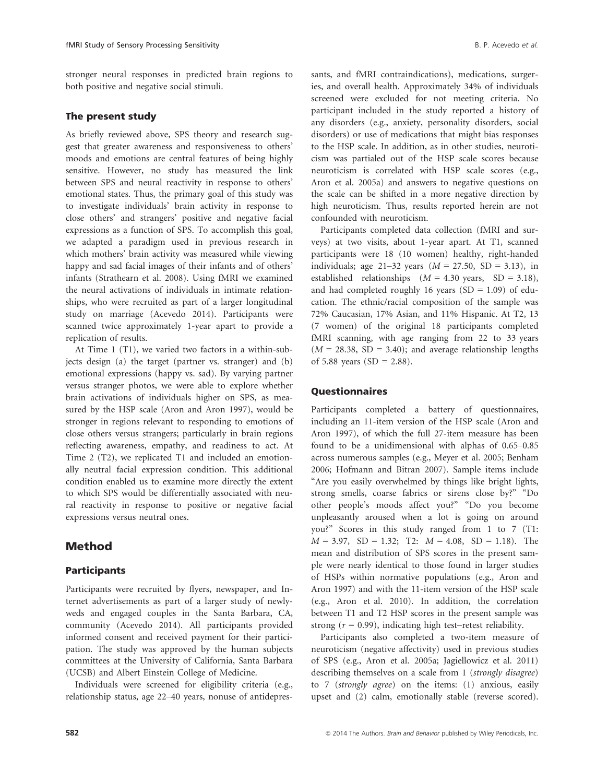stronger neural responses in predicted brain regions to both positive and negative social stimuli.

#### The present study

As briefly reviewed above, SPS theory and research suggest that greater awareness and responsiveness to others' moods and emotions are central features of being highly sensitive. However, no study has measured the link between SPS and neural reactivity in response to others' emotional states. Thus, the primary goal of this study was to investigate individuals' brain activity in response to close others' and strangers' positive and negative facial expressions as a function of SPS. To accomplish this goal, we adapted a paradigm used in previous research in which mothers' brain activity was measured while viewing happy and sad facial images of their infants and of others' infants (Strathearn et al. 2008). Using fMRI we examined the neural activations of individuals in intimate relationships, who were recruited as part of a larger longitudinal study on marriage (Acevedo 2014). Participants were scanned twice approximately 1-year apart to provide a replication of results.

At Time 1 (T1), we varied two factors in a within-subjects design (a) the target (partner vs. stranger) and (b) emotional expressions (happy vs. sad). By varying partner versus stranger photos, we were able to explore whether brain activations of individuals higher on SPS, as measured by the HSP scale (Aron and Aron 1997), would be stronger in regions relevant to responding to emotions of close others versus strangers; particularly in brain regions reflecting awareness, empathy, and readiness to act. At Time 2 (T2), we replicated T1 and included an emotionally neutral facial expression condition. This additional condition enabled us to examine more directly the extent to which SPS would be differentially associated with neural reactivity in response to positive or negative facial expressions versus neutral ones.

## Method

#### Participants

Participants were recruited by flyers, newspaper, and Internet advertisements as part of a larger study of newlyweds and engaged couples in the Santa Barbara, CA, community (Acevedo 2014). All participants provided informed consent and received payment for their participation. The study was approved by the human subjects committees at the University of California, Santa Barbara (UCSB) and Albert Einstein College of Medicine.

Individuals were screened for eligibility criteria (e.g., relationship status, age 22–40 years, nonuse of antidepressants, and fMRI contraindications), medications, surgeries, and overall health. Approximately 34% of individuals screened were excluded for not meeting criteria. No participant included in the study reported a history of any disorders (e.g., anxiety, personality disorders, social disorders) or use of medications that might bias responses to the HSP scale. In addition, as in other studies, neuroticism was partialed out of the HSP scale scores because neuroticism is correlated with HSP scale scores (e.g., Aron et al. 2005a) and answers to negative questions on the scale can be shifted in a more negative direction by high neuroticism. Thus, results reported herein are not confounded with neuroticism.

Participants completed data collection (fMRI and surveys) at two visits, about 1-year apart. At T1, scanned participants were 18 (10 women) healthy, right-handed individuals; age 21–32 years  $(M = 27.50, SD = 3.13)$ , in established relationships  $(M = 4.30 \text{ years}, \text{ SD} = 3.18)$ , and had completed roughly 16 years  $(SD = 1.09)$  of education. The ethnic/racial composition of the sample was 72% Caucasian, 17% Asian, and 11% Hispanic. At T2, 13 (7 women) of the original 18 participants completed fMRI scanning, with age ranging from 22 to 33 years  $(M = 28.38, SD = 3.40)$ ; and average relationship lengths of 5.88 years (SD = 2.88).

#### Questionnaires

Participants completed a battery of questionnaires, including an 11-item version of the HSP scale (Aron and Aron 1997), of which the full 27-item measure has been found to be a unidimensional with alphas of 0.65–0.85 across numerous samples (e.g., Meyer et al. 2005; Benham 2006; Hofmann and Bitran 2007). Sample items include "Are you easily overwhelmed by things like bright lights, strong smells, coarse fabrics or sirens close by?" "Do other people's moods affect you?" "Do you become unpleasantly aroused when a lot is going on around you?" Scores in this study ranged from 1 to 7 (T1:  $M = 3.97$ , SD = 1.32; T2:  $M = 4.08$ , SD = 1.18). The mean and distribution of SPS scores in the present sample were nearly identical to those found in larger studies of HSPs within normative populations (e.g., Aron and Aron 1997) and with the 11-item version of the HSP scale (e.g., Aron et al. 2010). In addition, the correlation between T1 and T2 HSP scores in the present sample was strong  $(r = 0.99)$ , indicating high test–retest reliability.

Participants also completed a two-item measure of neuroticism (negative affectivity) used in previous studies of SPS (e.g., Aron et al. 2005a; Jagiellowicz et al. 2011) describing themselves on a scale from 1 (strongly disagree) to 7 (strongly agree) on the items: (1) anxious, easily upset and (2) calm, emotionally stable (reverse scored).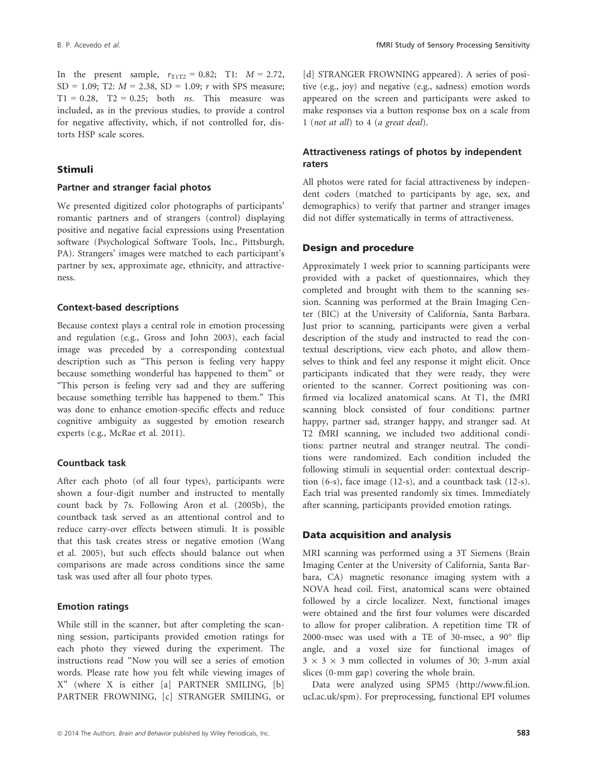In the present sample,  $r_{T1T2} = 0.82$ ; T1:  $M = 2.72$ , SD = 1.09; T2:  $M = 2.38$ , SD = 1.09; r with SPS measure;  $T1 = 0.28$ ,  $T2 = 0.25$ ; both *ns*. This measure was included, as in the previous studies, to provide a control for negative affectivity, which, if not controlled for, distorts HSP scale scores.

#### Stimuli

#### Partner and stranger facial photos

We presented digitized color photographs of participants' romantic partners and of strangers (control) displaying positive and negative facial expressions using Presentation software (Psychological Software Tools, Inc., Pittsburgh, PA). Strangers' images were matched to each participant's partner by sex, approximate age, ethnicity, and attractiveness.

#### Context-based descriptions

Because context plays a central role in emotion processing and regulation (e.g., Gross and John 2003), each facial image was preceded by a corresponding contextual description such as "This person is feeling very happy because something wonderful has happened to them" or "This person is feeling very sad and they are suffering because something terrible has happened to them." This was done to enhance emotion-specific effects and reduce cognitive ambiguity as suggested by emotion research experts (e.g., McRae et al. 2011).

#### Countback task

After each photo (of all four types), participants were shown a four-digit number and instructed to mentally count back by 7s. Following Aron et al. (2005b), the countback task served as an attentional control and to reduce carry-over effects between stimuli. It is possible that this task creates stress or negative emotion (Wang et al. 2005), but such effects should balance out when comparisons are made across conditions since the same task was used after all four photo types.

#### Emotion ratings

While still in the scanner, but after completing the scanning session, participants provided emotion ratings for each photo they viewed during the experiment. The instructions read "Now you will see a series of emotion words. Please rate how you felt while viewing images of X" (where X is either [a] PARTNER SMILING, [b] PARTNER FROWNING, [c] STRANGER SMILING, or [d] STRANGER FROWNING appeared). A series of positive (e.g., joy) and negative (e.g., sadness) emotion words appeared on the screen and participants were asked to make responses via a button response box on a scale from 1 (not at all) to 4 (a great deal).

## Attractiveness ratings of photos by independent raters

All photos were rated for facial attractiveness by independent coders (matched to participants by age, sex, and demographics) to verify that partner and stranger images did not differ systematically in terms of attractiveness.

#### Design and procedure

Approximately 1 week prior to scanning participants were provided with a packet of questionnaires, which they completed and brought with them to the scanning session. Scanning was performed at the Brain Imaging Center (BIC) at the University of California, Santa Barbara. Just prior to scanning, participants were given a verbal description of the study and instructed to read the contextual descriptions, view each photo, and allow themselves to think and feel any response it might elicit. Once participants indicated that they were ready, they were oriented to the scanner. Correct positioning was confirmed via localized anatomical scans. At T1, the fMRI scanning block consisted of four conditions: partner happy, partner sad, stranger happy, and stranger sad. At T2 fMRI scanning, we included two additional conditions: partner neutral and stranger neutral. The conditions were randomized. Each condition included the following stimuli in sequential order: contextual description (6-s), face image (12-s), and a countback task (12-s). Each trial was presented randomly six times. Immediately after scanning, participants provided emotion ratings.

#### Data acquisition and analysis

MRI scanning was performed using a 3T Siemens (Brain Imaging Center at the University of California, Santa Barbara, CA) magnetic resonance imaging system with a NOVA head coil. First, anatomical scans were obtained followed by a circle localizer. Next, functional images were obtained and the first four volumes were discarded to allow for proper calibration. A repetition time TR of 2000-msec was used with a TE of 30-msec, a 90° flip angle, and a voxel size for functional images of  $3 \times 3 \times 3$  mm collected in volumes of 30; 3-mm axial slices (0-mm gap) covering the whole brain.

Data were analyzed using SPM5 (http://www.fil.ion. ucl.ac.uk/spm). For preprocessing, functional EPI volumes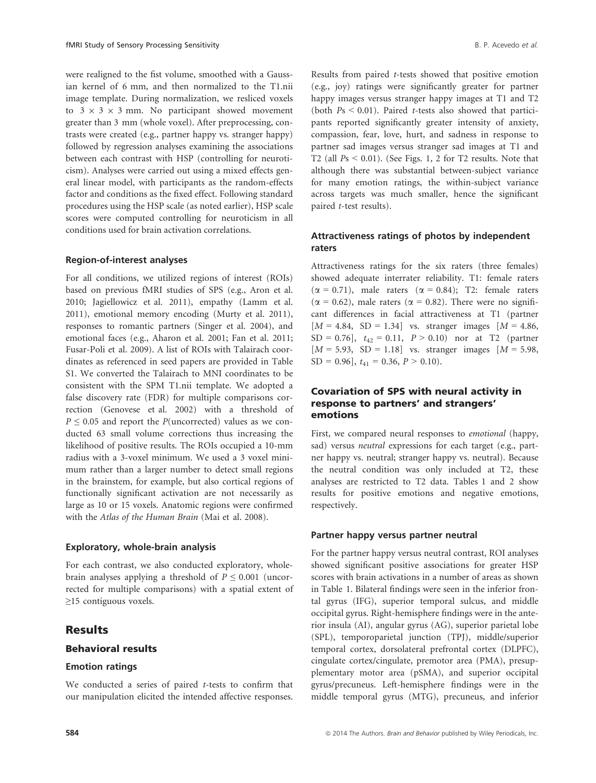were realigned to the fist volume, smoothed with a Gaussian kernel of 6 mm, and then normalized to the T1.nii image template. During normalization, we resliced voxels to  $3 \times 3 \times 3$  mm. No participant showed movement greater than 3 mm (whole voxel). After preprocessing, contrasts were created (e.g., partner happy vs. stranger happy) followed by regression analyses examining the associations between each contrast with HSP (controlling for neuroticism). Analyses were carried out using a mixed effects general linear model, with participants as the random-effects factor and conditions as the fixed effect. Following standard procedures using the HSP scale (as noted earlier), HSP scale scores were computed controlling for neuroticism in all conditions used for brain activation correlations.

#### Region-of-interest analyses

For all conditions, we utilized regions of interest (ROIs) based on previous fMRI studies of SPS (e.g., Aron et al. 2010; Jagiellowicz et al. 2011), empathy (Lamm et al. 2011), emotional memory encoding (Murty et al. 2011), responses to romantic partners (Singer et al. 2004), and emotional faces (e.g., Aharon et al. 2001; Fan et al. 2011; Fusar-Poli et al. 2009). A list of ROIs with Talairach coordinates as referenced in seed papers are provided in Table S1. We converted the Talairach to MNI coordinates to be consistent with the SPM T1.nii template. We adopted a false discovery rate (FDR) for multiple comparisons correction (Genovese et al. 2002) with a threshold of  $P \le 0.05$  and report the P(uncorrected) values as we conducted 63 small volume corrections thus increasing the likelihood of positive results. The ROIs occupied a 10-mm radius with a 3-voxel minimum. We used a 3 voxel minimum rather than a larger number to detect small regions in the brainstem, for example, but also cortical regions of functionally significant activation are not necessarily as large as 10 or 15 voxels. Anatomic regions were confirmed with the Atlas of the Human Brain (Mai et al. 2008).

#### Exploratory, whole-brain analysis

For each contrast, we also conducted exploratory, wholebrain analyses applying a threshold of  $P \leq 0.001$  (uncorrected for multiple comparisons) with a spatial extent of ≥15 contiguous voxels.

## Results

#### Behavioral results

#### Emotion ratings

We conducted a series of paired  $t$ -tests to confirm that our manipulation elicited the intended affective responses.

Results from paired t-tests showed that positive emotion (e.g., joy) ratings were significantly greater for partner happy images versus stranger happy images at T1 and T2 (both  $Ps < 0.01$ ). Paired *t*-tests also showed that participants reported significantly greater intensity of anxiety, compassion, fear, love, hurt, and sadness in response to partner sad images versus stranger sad images at T1 and T2 (all  $Ps < 0.01$ ). (See Figs. 1, 2 for T2 results. Note that although there was substantial between-subject variance for many emotion ratings, the within-subject variance across targets was much smaller, hence the significant paired t-test results).

## Attractiveness ratings of photos by independent raters

Attractiveness ratings for the six raters (three females) showed adequate interrater reliability. T1: female raters  $(\alpha = 0.71)$ , male raters  $(\alpha = 0.84)$ ; T2: female raters  $(\alpha = 0.62)$ , male raters  $(\alpha = 0.82)$ . There were no significant differences in facial attractiveness at T1 (partner  $[M = 4.84, SD = 1.34]$  vs. stranger images  $[M = 4.86,$  $SD = 0.76$ ,  $t_{42} = 0.11$ ,  $P > 0.10$  nor at T2 (partner  $[M = 5.93, SD = 1.18]$  vs. stranger images  $[M = 5.98,$  $SD = 0.96$ ,  $t_{41} = 0.36$ ,  $P > 0.10$ ).

## Covariation of SPS with neural activity in response to partners' and strangers' emotions

First, we compared neural responses to emotional (happy, sad) versus *neutral* expressions for each target (e.g., partner happy vs. neutral; stranger happy vs. neutral). Because the neutral condition was only included at T2, these analyses are restricted to T2 data. Tables 1 and 2 show results for positive emotions and negative emotions, respectively.

#### Partner happy versus partner neutral

For the partner happy versus neutral contrast, ROI analyses showed significant positive associations for greater HSP scores with brain activations in a number of areas as shown in Table 1. Bilateral findings were seen in the inferior frontal gyrus (IFG), superior temporal sulcus, and middle occipital gyrus. Right-hemisphere findings were in the anterior insula (AI), angular gyrus (AG), superior parietal lobe (SPL), temporoparietal junction (TPJ), middle/superior temporal cortex, dorsolateral prefrontal cortex (DLPFC), cingulate cortex/cingulate, premotor area (PMA), presupplementary motor area (pSMA), and superior occipital gyrus/precuneus. Left-hemisphere findings were in the middle temporal gyrus (MTG), precuneus, and inferior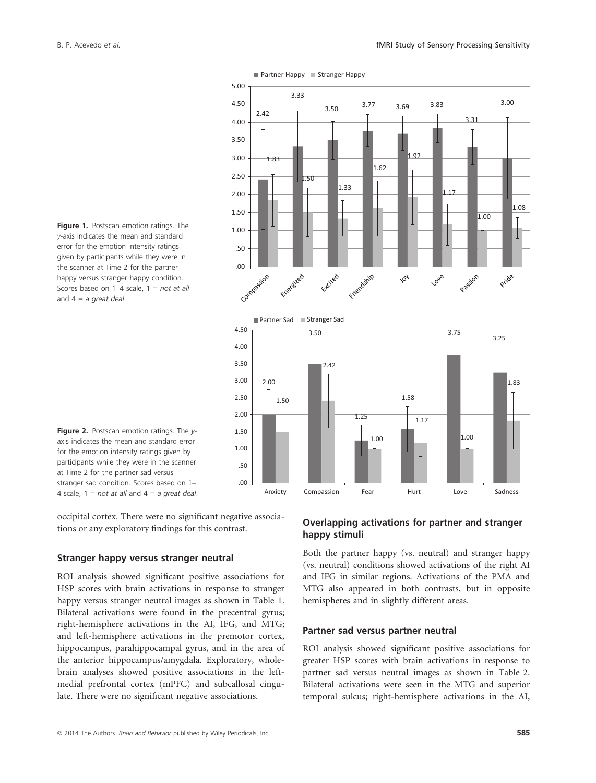



Figure 2. Postscan emotion ratings. The yaxis indicates the mean and standard error for the emotion intensity ratings given by participants while they were in the scanner at Time 2 for the partner sad versus stranger sad condition. Scores based on 1– 4 scale,  $1 = not$  at all and  $4 = a$  great deal.

occipital cortex. There were no significant negative associations or any exploratory findings for this contrast.

#### Stranger happy versus stranger neutral

ROI analysis showed significant positive associations for HSP scores with brain activations in response to stranger happy versus stranger neutral images as shown in Table 1. Bilateral activations were found in the precentral gyrus; right-hemisphere activations in the AI, IFG, and MTG; and left-hemisphere activations in the premotor cortex, hippocampus, parahippocampal gyrus, and in the area of the anterior hippocampus/amygdala. Exploratory, wholebrain analyses showed positive associations in the leftmedial prefrontal cortex (mPFC) and subcallosal cingulate. There were no significant negative associations.

## Overlapping activations for partner and stranger happy stimuli

Both the partner happy (vs. neutral) and stranger happy (vs. neutral) conditions showed activations of the right AI and IFG in similar regions. Activations of the PMA and MTG also appeared in both contrasts, but in opposite hemispheres and in slightly different areas.

#### Partner sad versus partner neutral

ROI analysis showed significant positive associations for greater HSP scores with brain activations in response to partner sad versus neutral images as shown in Table 2. Bilateral activations were seen in the MTG and superior temporal sulcus; right-hemisphere activations in the AI,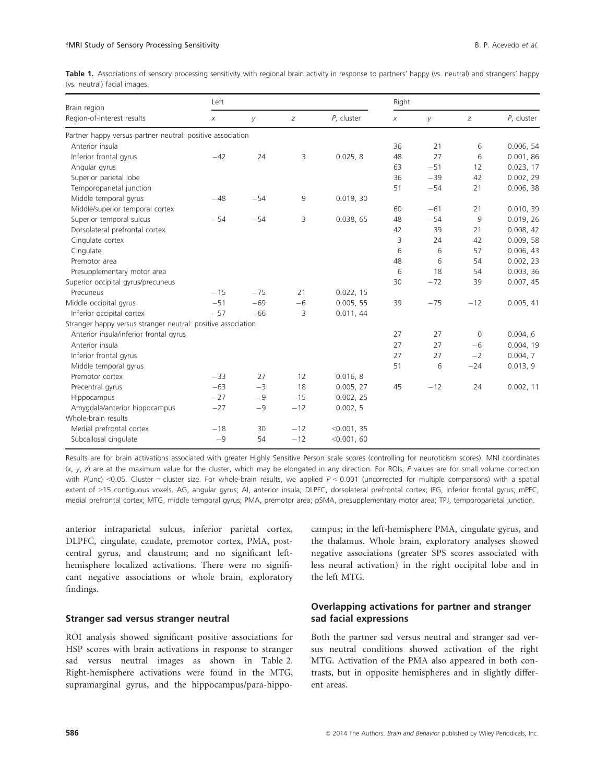Table 1. Associations of sensory processing sensitivity with regional brain activity in response to partners' happy (vs. neutral) and strangers' happy (vs. neutral) facial images.

| Brain region                                                 | Left  |       |       | Right       |    |       |          |            |  |
|--------------------------------------------------------------|-------|-------|-------|-------------|----|-------|----------|------------|--|
| Region-of-interest results                                   | Χ     | У     | Ζ     | P, cluster  | Χ  | У     | Ζ        | P, cluster |  |
| Partner happy versus partner neutral: positive association   |       |       |       |             |    |       |          |            |  |
| Anterior insula                                              |       |       |       |             | 36 | 21    | 6        | 0.006, 54  |  |
| Inferior frontal gyrus                                       | $-42$ | 24    | 3     | 0.025, 8    | 48 | 27    | 6        | 0.001, 86  |  |
| Angular gyrus                                                |       |       |       |             | 63 | $-51$ | 12       | 0.023, 17  |  |
| Superior parietal lobe                                       |       |       |       |             | 36 | $-39$ | 42       | 0.002, 29  |  |
| Temporoparietal junction                                     |       |       |       |             | 51 | $-54$ | 21       | 0.006, 38  |  |
| Middle temporal gyrus                                        | $-48$ | $-54$ | 9     | 0.019, 30   |    |       |          |            |  |
| Middle/superior temporal cortex                              |       |       |       |             | 60 | $-61$ | 21       | 0.010, 39  |  |
| Superior temporal sulcus                                     | $-54$ | $-54$ | 3     | 0.038, 65   | 48 | $-54$ | 9        | 0.019, 26  |  |
| Dorsolateral prefrontal cortex                               |       |       |       |             | 42 | 39    | 21       | 0.008, 42  |  |
| Cinqulate cortex                                             |       |       |       |             | 3  | 24    | 42       | 0.009, 58  |  |
| Cingulate                                                    |       |       |       |             | 6  | 6     | 57       | 0.006, 43  |  |
| Premotor area                                                |       |       |       |             | 48 | 6     | 54       | 0.002, 23  |  |
| Presupplementary motor area                                  |       |       |       |             | 6  | 18    | 54       | 0.003, 36  |  |
| Superior occipital gyrus/precuneus                           |       |       |       |             | 30 | $-72$ | 39       | 0.007, 45  |  |
| Precuneus                                                    | $-15$ | $-75$ | 21    | 0.022, 15   |    |       |          |            |  |
| Middle occipital gyrus                                       | $-51$ | $-69$ | $-6$  | 0.005, 55   | 39 | $-75$ | $-12$    | 0.005, 41  |  |
| Inferior occipital cortex                                    | $-57$ | $-66$ | $-3$  | 0.011, 44   |    |       |          |            |  |
| Stranger happy versus stranger neutral: positive association |       |       |       |             |    |       |          |            |  |
| Anterior insula/inferior frontal gyrus                       |       |       |       |             | 27 | 27    | $\Omega$ | 0.004, 6   |  |
| Anterior insula                                              |       |       |       |             | 27 | 27    | $-6$     | 0.004, 19  |  |
| Inferior frontal gyrus                                       |       |       |       |             | 27 | 27    | $-2$     | 0.004, 7   |  |
| Middle temporal gyrus                                        |       |       |       |             | 51 | 6     | $-24$    | 0.013, 9   |  |
| Premotor cortex                                              | $-33$ | 27    | 12    | 0.016, 8    |    |       |          |            |  |
| Precentral gyrus                                             | $-63$ | $-3$  | 18    | 0.005, 27   | 45 | $-12$ | 24       | 0.002, 11  |  |
| Hippocampus                                                  | $-27$ | $-9$  | $-15$ | 0.002, 25   |    |       |          |            |  |
| Amygdala/anterior hippocampus                                | $-27$ | $-9$  | $-12$ | 0.002, 5    |    |       |          |            |  |
| Whole-brain results                                          |       |       |       |             |    |       |          |            |  |
| Medial prefrontal cortex                                     | $-18$ | 30    | $-12$ | < 0.001, 35 |    |       |          |            |  |
| Subcallosal cingulate                                        | $-9$  | 54    | $-12$ | < 0.001, 60 |    |       |          |            |  |

Results are for brain activations associated with greater Highly Sensitive Person scale scores (controlling for neuroticism scores). MNI coordinates  $(x, y, z)$  are at the maximum value for the cluster, which may be elongated in any direction. For ROIs, P values are for small volume correction with  $P($ unc) <0.05. Cluster = cluster size. For whole-brain results, we applied  $P < 0.001$  (uncorrected for multiple comparisons) with a spatial extent of >15 contiguous voxels. AG, angular gyrus; AI, anterior insula; DLPFC, dorsolateral prefrontal cortex; IFG, inferior frontal gyrus; mPFC, medial prefrontal cortex; MTG, middle temporal gyrus; PMA, premotor area; pSMA, presupplementary motor area; TPJ, temporoparietal junction.

anterior intraparietal sulcus, inferior parietal cortex, DLPFC, cingulate, caudate, premotor cortex, PMA, postcentral gyrus, and claustrum; and no significant lefthemisphere localized activations. There were no significant negative associations or whole brain, exploratory findings.

#### Stranger sad versus stranger neutral

ROI analysis showed significant positive associations for HSP scores with brain activations in response to stranger sad versus neutral images as shown in Table 2. Right-hemisphere activations were found in the MTG, supramarginal gyrus, and the hippocampus/para-hippo-

campus; in the left-hemisphere PMA, cingulate gyrus, and the thalamus. Whole brain, exploratory analyses showed negative associations (greater SPS scores associated with less neural activation) in the right occipital lobe and in the left MTG.

## Overlapping activations for partner and stranger sad facial expressions

Both the partner sad versus neutral and stranger sad versus neutral conditions showed activation of the right MTG. Activation of the PMA also appeared in both contrasts, but in opposite hemispheres and in slightly different areas.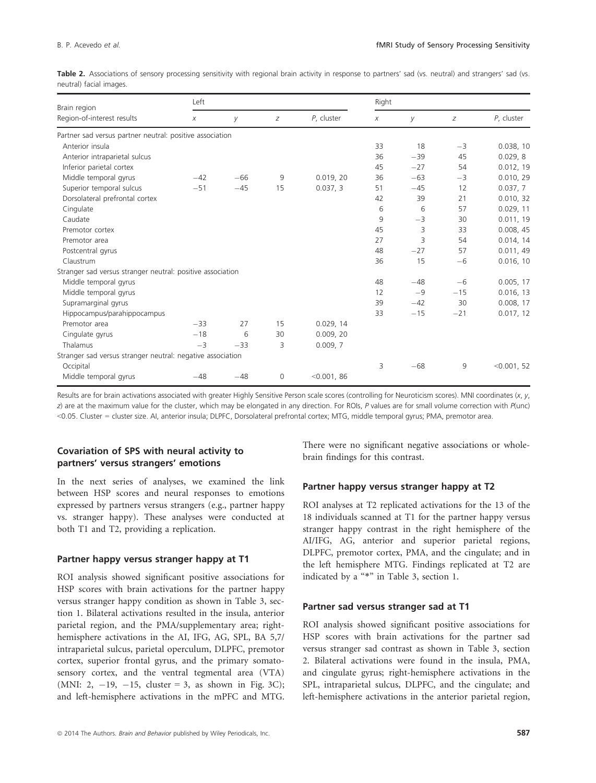| <b>Table 2.</b> Associations of sensory processing sensitivity with regional brain activity in response to partners' sad (vs. neutral) and strangers' sad (vs. |  |  |  |  |  |  |  |  |
|----------------------------------------------------------------------------------------------------------------------------------------------------------------|--|--|--|--|--|--|--|--|
| neutral) facial images.                                                                                                                                        |  |  |  |  |  |  |  |  |

| Brain region                                               | Left  |                       |          |             | Right |       |       |             |  |  |
|------------------------------------------------------------|-------|-----------------------|----------|-------------|-------|-------|-------|-------------|--|--|
| Region-of-interest results                                 | Χ     | У<br>$\boldsymbol{Z}$ |          | P, cluster  | Χ     | У     | Ζ     | P, cluster  |  |  |
| Partner sad versus partner neutral: positive association   |       |                       |          |             |       |       |       |             |  |  |
| Anterior insula                                            |       |                       |          |             | 33    | 18    | $-3$  | 0.038, 10   |  |  |
| Anterior intraparietal sulcus                              |       |                       |          |             | 36    | $-39$ | 45    | 0.029.8     |  |  |
| Inferior parietal cortex                                   |       |                       |          |             | 45    | $-27$ | 54    | 0.012, 19   |  |  |
| Middle temporal gyrus                                      | $-42$ | $-66$                 | 9        | 0.019, 20   | 36    | $-63$ | $-3$  | 0.010, 29   |  |  |
| Superior temporal sulcus                                   | $-51$ | $-45$                 | 15       | 0.037, 3    | 51    | $-45$ | 12    | 0.037, 7    |  |  |
| Dorsolateral prefrontal cortex                             |       |                       |          |             | 42    | 39    | 21    | 0.010, 32   |  |  |
| Cingulate                                                  |       |                       |          |             | 6     | 6     | 57    | 0.029, 11   |  |  |
| Caudate                                                    |       |                       |          |             | 9     | $-3$  | 30    | 0.011, 19   |  |  |
| Premotor cortex                                            |       |                       |          |             | 45    | 3     | 33    | 0.008, 45   |  |  |
| Premotor area                                              |       |                       |          |             | 27    | 3     | 54    | 0.014, 14   |  |  |
| Postcentral gyrus                                          |       |                       |          |             | 48    | $-27$ | 57    | 0.011, 49   |  |  |
| Claustrum                                                  |       |                       |          |             | 36    | 15    | $-6$  | 0.016, 10   |  |  |
| Stranger sad versus stranger neutral: positive association |       |                       |          |             |       |       |       |             |  |  |
| Middle temporal gyrus                                      |       |                       |          |             | 48    | $-48$ | $-6$  | 0.005, 17   |  |  |
| Middle temporal gyrus                                      |       |                       |          |             | 12    | $-9$  | $-15$ | 0.016, 13   |  |  |
| Supramarginal gyrus                                        |       |                       |          |             | 39    | $-42$ | 30    | 0.008, 17   |  |  |
| Hippocampus/parahippocampus                                |       |                       |          |             | 33    | $-15$ | $-21$ | 0.017, 12   |  |  |
| Premotor area                                              | $-33$ | 27                    | 15       | 0.029, 14   |       |       |       |             |  |  |
| Cingulate gyrus                                            | $-18$ | 6                     | 30       | 0.009, 20   |       |       |       |             |  |  |
| Thalamus                                                   | $-3$  | $-33$                 | 3        | 0.009, 7    |       |       |       |             |  |  |
| Stranger sad versus stranger neutral: negative association |       |                       |          |             |       |       |       |             |  |  |
| Occipital                                                  |       |                       |          |             | 3     | $-68$ | 9     | < 0.001, 52 |  |  |
| Middle temporal gyrus                                      | $-48$ | $-48$                 | $\Omega$ | < 0.001, 86 |       |       |       |             |  |  |

Results are for brain activations associated with greater Highly Sensitive Person scale scores (controlling for Neuroticism scores). MNI coordinates (x, y, z) are at the maximum value for the cluster, which may be elongated in any direction. For ROIs, P values are for small volume correction with P(unc) <0.05. Cluster = cluster size. AI, anterior insula; DLPFC, Dorsolateral prefrontal cortex; MTG, middle temporal gyrus; PMA, premotor area.

## Covariation of SPS with neural activity to partners' versus strangers' emotions

In the next series of analyses, we examined the link between HSP scores and neural responses to emotions expressed by partners versus strangers (e.g., partner happy vs. stranger happy). These analyses were conducted at both T1 and T2, providing a replication.

#### Partner happy versus stranger happy at T1

ROI analysis showed significant positive associations for HSP scores with brain activations for the partner happy versus stranger happy condition as shown in Table 3, section 1. Bilateral activations resulted in the insula, anterior parietal region, and the PMA/supplementary area; righthemisphere activations in the AI, IFG, AG, SPL, BA 5,7/ intraparietal sulcus, parietal operculum, DLPFC, premotor cortex, superior frontal gyrus, and the primary somatosensory cortex, and the ventral tegmental area (VTA) (MNI: 2,  $-19$ ,  $-15$ , cluster = 3, as shown in Fig. 3C); and left-hemisphere activations in the mPFC and MTG. There were no significant negative associations or wholebrain findings for this contrast.

#### Partner happy versus stranger happy at T2

ROI analyses at T2 replicated activations for the 13 of the 18 individuals scanned at T1 for the partner happy versus stranger happy contrast in the right hemisphere of the AI/IFG, AG, anterior and superior parietal regions, DLPFC, premotor cortex, PMA, and the cingulate; and in the left hemisphere MTG. Findings replicated at T2 are indicated by a "\*" in Table 3, section 1.

#### Partner sad versus stranger sad at T1

ROI analysis showed significant positive associations for HSP scores with brain activations for the partner sad versus stranger sad contrast as shown in Table 3, section 2. Bilateral activations were found in the insula, PMA, and cingulate gyrus; right-hemisphere activations in the SPL, intraparietal sulcus, DLPFC, and the cingulate; and left-hemisphere activations in the anterior parietal region,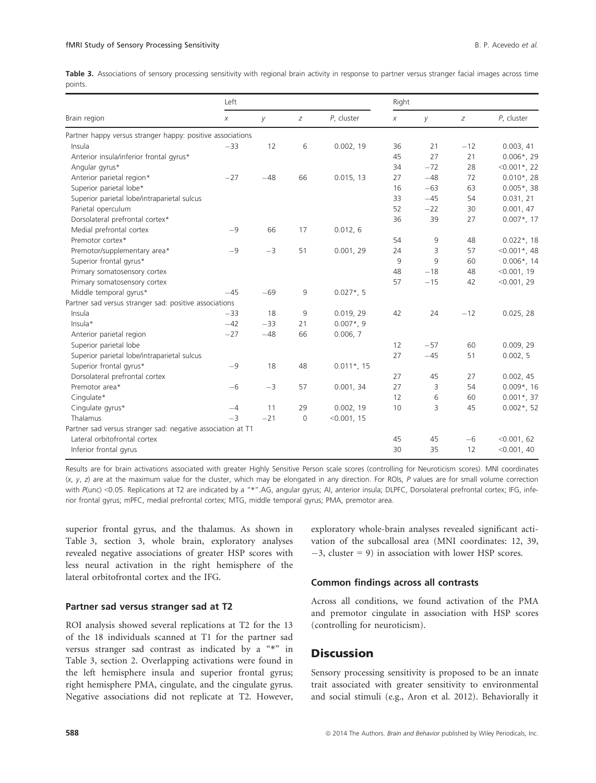Table 3. Associations of sensory processing sensitivity with regional brain activity in response to partner versus stranger facial images across time points.

|                                                             | Left   |       |              |               | Right |       |       |                |  |
|-------------------------------------------------------------|--------|-------|--------------|---------------|-------|-------|-------|----------------|--|
| Brain region                                                | $\chi$ | У     | Z            | P, cluster    | X     | У     | Z     | P, cluster     |  |
| Partner happy versus stranger happy: positive associations  |        |       |              |               |       |       |       |                |  |
| Insula                                                      | $-33$  | 12    | 6            | 0.002, 19     | 36    | 21    | $-12$ | 0.003, 41      |  |
| Anterior insula/inferior frontal gyrus*                     |        |       |              |               | 45    | 27    | 21    | $0.006*$ , 29  |  |
| Angular gyrus*                                              |        |       |              |               | 34    | $-72$ | 28    | $<0.001$ *, 22 |  |
| Anterior parietal region*                                   | $-27$  | $-48$ | 66           | 0.015, 13     | 27    | $-48$ | 72    | $0.010*$ , 28  |  |
| Superior parietal lobe*                                     |        |       |              |               | 16    | $-63$ | 63    | $0.005*$ , 38  |  |
| Superior parietal lobe/intraparietal sulcus                 |        |       |              |               | 33    | $-45$ | 54    | 0.031, 21      |  |
| Parietal operculum                                          |        |       |              |               | 52    | $-22$ | 30    | 0.001, 47      |  |
| Dorsolateral prefrontal cortex*                             |        |       |              |               | 36    | 39    | 27    | $0.007$ *, 17  |  |
| Medial prefrontal cortex                                    | $-9$   | 66    | 17           | 0.012, 6      |       |       |       |                |  |
| Premotor cortex*                                            |        |       |              |               | 54    | 9     | 48    | $0.022$ *, 18  |  |
| Premotor/supplementary area*                                | $-9$   | $-3$  | 51           | 0.001, 29     | 24    | 3     | 57    | $<0.001*$ , 48 |  |
| Superior frontal gyrus*                                     |        |       |              |               | 9     | 9     | 60    | $0.006*$ , 14  |  |
| Primary somatosensory cortex                                |        |       |              |               | 48    | $-18$ | 48    | $<$ 0.001, 19  |  |
| Primary somatosensory cortex                                |        |       |              |               | 57    | $-15$ | 42    | < 0.001, 29    |  |
| Middle temporal gyrus*                                      | $-45$  | $-69$ | 9            | $0.027$ *, 5  |       |       |       |                |  |
| Partner sad versus stranger sad: positive associations      |        |       |              |               |       |       |       |                |  |
| Insula                                                      | $-33$  | 18    | 9            | 0.019, 29     | 42    | 24    | $-12$ | 0.025, 28      |  |
| Insula*                                                     | $-42$  | $-33$ | 21           | $0.007$ *, 9  |       |       |       |                |  |
| Anterior parietal region                                    | $-27$  | $-48$ | 66           | 0.006, 7      |       |       |       |                |  |
| Superior parietal lobe                                      |        |       |              |               | 12    | $-57$ | 60    | 0.009, 29      |  |
| Superior parietal lobe/intraparietal sulcus                 |        |       |              |               | 27    | $-45$ | 51    | 0.002, 5       |  |
| Superior frontal gyrus*                                     | $-9$   | 18    | 48           | $0.011*$ , 15 |       |       |       |                |  |
| Dorsolateral prefrontal cortex                              |        |       |              |               | 27    | 45    | 27    | 0.002, 45      |  |
| Premotor area*                                              | $-6$   | $-3$  | 57           | 0.001, 34     | 27    | 3     | 54    | $0.009*$ , 16  |  |
| Cingulate*                                                  |        |       |              |               | 12    | 6     | 60    | $0.001*$ , 37  |  |
| Cingulate gyrus*                                            | $-4$   | 11    | 29           | 0.002, 19     | 10    | 3     | 45    | $0.002$ *, 52  |  |
| Thalamus                                                    | $-3$   | $-21$ | $\mathbf{0}$ | < 0.001, 15   |       |       |       |                |  |
| Partner sad versus stranger sad: negative association at T1 |        |       |              |               |       |       |       |                |  |
| Lateral orbitofrontal cortex                                |        |       |              |               | 45    | 45    | $-6$  | < 0.001, 62    |  |
| Inferior frontal gyrus                                      |        |       |              |               | 30    | 35    | 12    | < 0.001, 40    |  |

Results are for brain activations associated with greater Highly Sensitive Person scale scores (controlling for Neuroticism scores). MNI coordinates  $(x, y, z)$  are at the maximum value for the cluster, which may be elongated in any direction. For ROIs, P values are for small volume correction with P(unc) <0.05. Replications at T2 are indicated by a "\*".AG, angular gyrus; AI, anterior insula; DLPFC, Dorsolateral prefrontal cortex; IFG, inferior frontal gyrus; mPFC, medial prefrontal cortex; MTG, middle temporal gyrus; PMA, premotor area.

superior frontal gyrus, and the thalamus. As shown in Table 3, section 3, whole brain, exploratory analyses revealed negative associations of greater HSP scores with less neural activation in the right hemisphere of the lateral orbitofrontal cortex and the IFG.

#### Partner sad versus stranger sad at T2

ROI analysis showed several replications at T2 for the 13 of the 18 individuals scanned at T1 for the partner sad versus stranger sad contrast as indicated by a "\*" in Table 3, section 2. Overlapping activations were found in the left hemisphere insula and superior frontal gyrus; right hemisphere PMA, cingulate, and the cingulate gyrus. Negative associations did not replicate at T2. However, exploratory whole-brain analyses revealed significant activation of the subcallosal area (MNI coordinates: 12, 39,  $-3$ , cluster = 9) in association with lower HSP scores.

#### Common findings across all contrasts

Across all conditions, we found activation of the PMA and premotor cingulate in association with HSP scores (controlling for neuroticism).

## **Discussion**

Sensory processing sensitivity is proposed to be an innate trait associated with greater sensitivity to environmental and social stimuli (e.g., Aron et al. 2012). Behaviorally it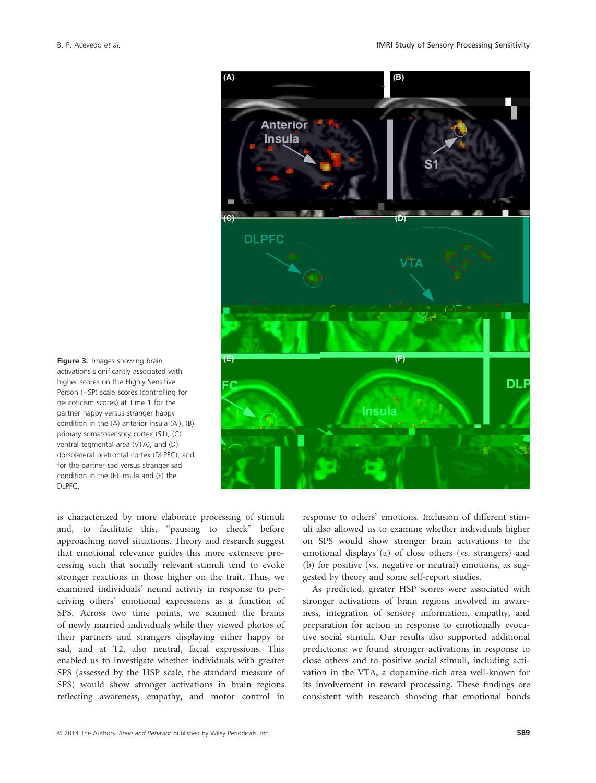

activations significantly associated with higher scores on the Highly Sensitive Person (HSP) scale scores (controlling for neuroticism scores) at Time 1 for the partner happy versus stranger happy condition in the (A) anterior insula (AI), (B) primary somatosensory cortex (S1), (C) ventral tegmental area (VTA), and (D) dorsolateral prefrontal cortex (DLPFC); and for the partner sad versus stranger sad condition in the (E) insula and (F) the DLPFC.

is characterized by more elaborate processing of stimuli and, to facilitate this, "pausing to check" before approaching novel situations. Theory and research suggest that emotional relevance guides this more extensive processing such that socially relevant stimuli tend to evoke stronger reactions in those higher on the trait. Thus, we examined individuals' neural activity in response to perceiving others' emotional expressions as a function of SPS. Across two time points, we scanned the brains of newly married individuals while they viewed photos of their partners and strangers displaying either happy or sad, and at T2, also neutral, facial expressions. This enabled us to investigate whether individuals with greater SPS (assessed by the HSP scale, the standard measure of SPS) would show stronger activations in brain regions reflecting awareness, empathy, and motor control in response to others' emotions. Inclusion of different stimuli also allowed us to examine whether individuals higher on SPS would show stronger brain activations to the emotional displays (a) of close others (vs. strangers) and (b) for positive (vs. negative or neutral) emotions, as suggested by theory and some self-report studies.

As predicted, greater HSP scores were associated with stronger activations of brain regions involved in awareness, integration of sensory information, empathy, and preparation for action in response to emotionally evocative social stimuli. Our results also supported additional predictions: we found stronger activations in response to close others and to positive social stimuli, including activation in the VTA, a dopamine-rich area well-known for its involvement in reward processing. These findings are consistent with research showing that emotional bonds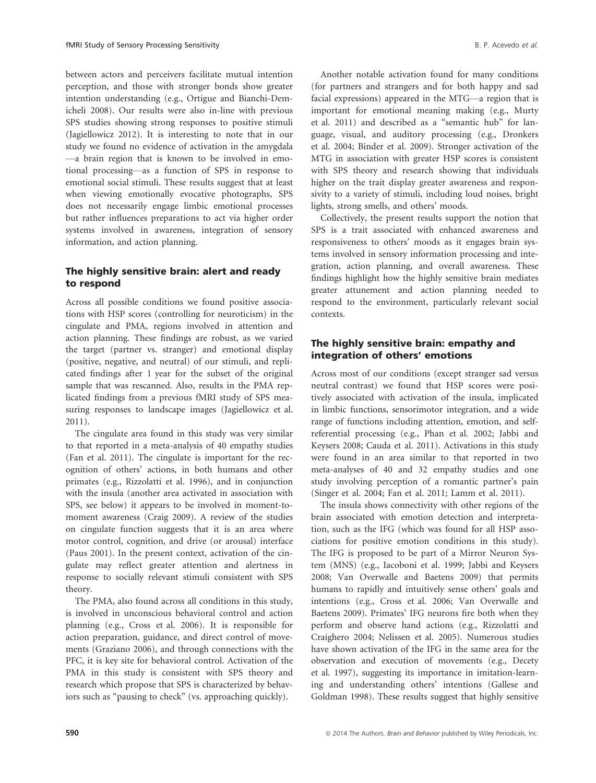between actors and perceivers facilitate mutual intention perception, and those with stronger bonds show greater intention understanding (e.g., Ortigue and Bianchi-Demicheli 2008). Our results were also in-line with previous SPS studies showing strong responses to positive stimuli (Jagiellowicz 2012). It is interesting to note that in our study we found no evidence of activation in the amygdala —a brain region that is known to be involved in emotional processing—as a function of SPS in response to emotional social stimuli. These results suggest that at least when viewing emotionally evocative photographs, SPS does not necessarily engage limbic emotional processes but rather influences preparations to act via higher order systems involved in awareness, integration of sensory information, and action planning.

## The highly sensitive brain: alert and ready to respond

Across all possible conditions we found positive associations with HSP scores (controlling for neuroticism) in the cingulate and PMA, regions involved in attention and action planning. These findings are robust, as we varied the target (partner vs. stranger) and emotional display (positive, negative, and neutral) of our stimuli, and replicated findings after 1 year for the subset of the original sample that was rescanned. Also, results in the PMA replicated findings from a previous fMRI study of SPS measuring responses to landscape images (Jagiellowicz et al. 2011).

The cingulate area found in this study was very similar to that reported in a meta-analysis of 40 empathy studies (Fan et al. 2011). The cingulate is important for the recognition of others' actions, in both humans and other primates (e.g., Rizzolatti et al. 1996), and in conjunction with the insula (another area activated in association with SPS, see below) it appears to be involved in moment-tomoment awareness (Craig 2009). A review of the studies on cingulate function suggests that it is an area where motor control, cognition, and drive (or arousal) interface (Paus 2001). In the present context, activation of the cingulate may reflect greater attention and alertness in response to socially relevant stimuli consistent with SPS theory.

The PMA, also found across all conditions in this study, is involved in unconscious behavioral control and action planning (e.g., Cross et al. 2006). It is responsible for action preparation, guidance, and direct control of movements (Graziano 2006), and through connections with the PFC, it is key site for behavioral control. Activation of the PMA in this study is consistent with SPS theory and research which propose that SPS is characterized by behaviors such as "pausing to check" (vs. approaching quickly).

Another notable activation found for many conditions (for partners and strangers and for both happy and sad facial expressions) appeared in the MTG—a region that is important for emotional meaning making (e.g., Murty et al. 2011) and described as a "semantic hub" for language, visual, and auditory processing (e.g., Dronkers et al. 2004; Binder et al. 2009). Stronger activation of the MTG in association with greater HSP scores is consistent with SPS theory and research showing that individuals higher on the trait display greater awareness and responsivity to a variety of stimuli, including loud noises, bright lights, strong smells, and others' moods.

Collectively, the present results support the notion that SPS is a trait associated with enhanced awareness and responsiveness to others' moods as it engages brain systems involved in sensory information processing and integration, action planning, and overall awareness. These findings highlight how the highly sensitive brain mediates greater attunement and action planning needed to respond to the environment, particularly relevant social contexts.

#### The highly sensitive brain: empathy and integration of others' emotions

Across most of our conditions (except stranger sad versus neutral contrast) we found that HSP scores were positively associated with activation of the insula, implicated in limbic functions, sensorimotor integration, and a wide range of functions including attention, emotion, and selfreferential processing (e.g., Phan et al. 2002; Jabbi and Keysers 2008; Cauda et al. 2011). Activations in this study were found in an area similar to that reported in two meta-analyses of 40 and 32 empathy studies and one study involving perception of a romantic partner's pain (Singer et al. 2004; Fan et al. 2011; Lamm et al. 2011).

The insula shows connectivity with other regions of the brain associated with emotion detection and interpretation, such as the IFG (which was found for all HSP associations for positive emotion conditions in this study). The IFG is proposed to be part of a Mirror Neuron System (MNS) (e.g., Iacoboni et al. 1999; Jabbi and Keysers 2008; Van Overwalle and Baetens 2009) that permits humans to rapidly and intuitively sense others' goals and intentions (e.g., Cross et al. 2006; Van Overwalle and Baetens 2009). Primates' IFG neurons fire both when they perform and observe hand actions (e.g., Rizzolatti and Craighero 2004; Nelissen et al. 2005). Numerous studies have shown activation of the IFG in the same area for the observation and execution of movements (e.g., Decety et al. 1997), suggesting its importance in imitation-learning and understanding others' intentions (Gallese and Goldman 1998). These results suggest that highly sensitive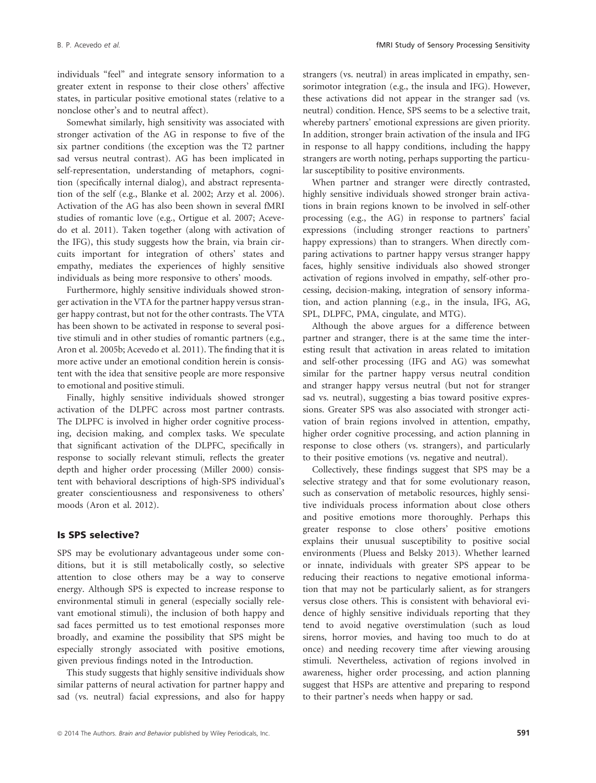individuals "feel" and integrate sensory information to a greater extent in response to their close others' affective states, in particular positive emotional states (relative to a nonclose other's and to neutral affect).

Somewhat similarly, high sensitivity was associated with stronger activation of the AG in response to five of the six partner conditions (the exception was the T2 partner sad versus neutral contrast). AG has been implicated in self-representation, understanding of metaphors, cognition (specifically internal dialog), and abstract representation of the self (e.g., Blanke et al. 2002; Arzy et al. 2006). Activation of the AG has also been shown in several fMRI studies of romantic love (e.g., Ortigue et al. 2007; Acevedo et al. 2011). Taken together (along with activation of the IFG), this study suggests how the brain, via brain circuits important for integration of others' states and empathy, mediates the experiences of highly sensitive individuals as being more responsive to others' moods.

Furthermore, highly sensitive individuals showed stronger activation in the VTA for the partner happy versus stranger happy contrast, but not for the other contrasts. The VTA has been shown to be activated in response to several positive stimuli and in other studies of romantic partners (e.g., Aron et al. 2005b; Acevedo et al. 2011). The finding that it is more active under an emotional condition herein is consistent with the idea that sensitive people are more responsive to emotional and positive stimuli.

Finally, highly sensitive individuals showed stronger activation of the DLPFC across most partner contrasts. The DLPFC is involved in higher order cognitive processing, decision making, and complex tasks. We speculate that significant activation of the DLPFC, specifically in response to socially relevant stimuli, reflects the greater depth and higher order processing (Miller 2000) consistent with behavioral descriptions of high-SPS individual's greater conscientiousness and responsiveness to others' moods (Aron et al. 2012).

#### Is SPS selective?

SPS may be evolutionary advantageous under some conditions, but it is still metabolically costly, so selective attention to close others may be a way to conserve energy. Although SPS is expected to increase response to environmental stimuli in general (especially socially relevant emotional stimuli), the inclusion of both happy and sad faces permitted us to test emotional responses more broadly, and examine the possibility that SPS might be especially strongly associated with positive emotions, given previous findings noted in the Introduction.

This study suggests that highly sensitive individuals show similar patterns of neural activation for partner happy and sad (vs. neutral) facial expressions, and also for happy strangers (vs. neutral) in areas implicated in empathy, sensorimotor integration (e.g., the insula and IFG). However, these activations did not appear in the stranger sad (vs. neutral) condition. Hence, SPS seems to be a selective trait, whereby partners' emotional expressions are given priority. In addition, stronger brain activation of the insula and IFG in response to all happy conditions, including the happy strangers are worth noting, perhaps supporting the particular susceptibility to positive environments.

When partner and stranger were directly contrasted, highly sensitive individuals showed stronger brain activations in brain regions known to be involved in self-other processing (e.g., the AG) in response to partners' facial expressions (including stronger reactions to partners' happy expressions) than to strangers. When directly comparing activations to partner happy versus stranger happy faces, highly sensitive individuals also showed stronger activation of regions involved in empathy, self-other processing, decision-making, integration of sensory information, and action planning (e.g., in the insula, IFG, AG, SPL, DLPFC, PMA, cingulate, and MTG).

Although the above argues for a difference between partner and stranger, there is at the same time the interesting result that activation in areas related to imitation and self-other processing (IFG and AG) was somewhat similar for the partner happy versus neutral condition and stranger happy versus neutral (but not for stranger sad vs. neutral), suggesting a bias toward positive expressions. Greater SPS was also associated with stronger activation of brain regions involved in attention, empathy, higher order cognitive processing, and action planning in response to close others (vs. strangers), and particularly to their positive emotions (vs. negative and neutral).

Collectively, these findings suggest that SPS may be a selective strategy and that for some evolutionary reason, such as conservation of metabolic resources, highly sensitive individuals process information about close others and positive emotions more thoroughly. Perhaps this greater response to close others' positive emotions explains their unusual susceptibility to positive social environments (Pluess and Belsky 2013). Whether learned or innate, individuals with greater SPS appear to be reducing their reactions to negative emotional information that may not be particularly salient, as for strangers versus close others. This is consistent with behavioral evidence of highly sensitive individuals reporting that they tend to avoid negative overstimulation (such as loud sirens, horror movies, and having too much to do at once) and needing recovery time after viewing arousing stimuli. Nevertheless, activation of regions involved in awareness, higher order processing, and action planning suggest that HSPs are attentive and preparing to respond to their partner's needs when happy or sad.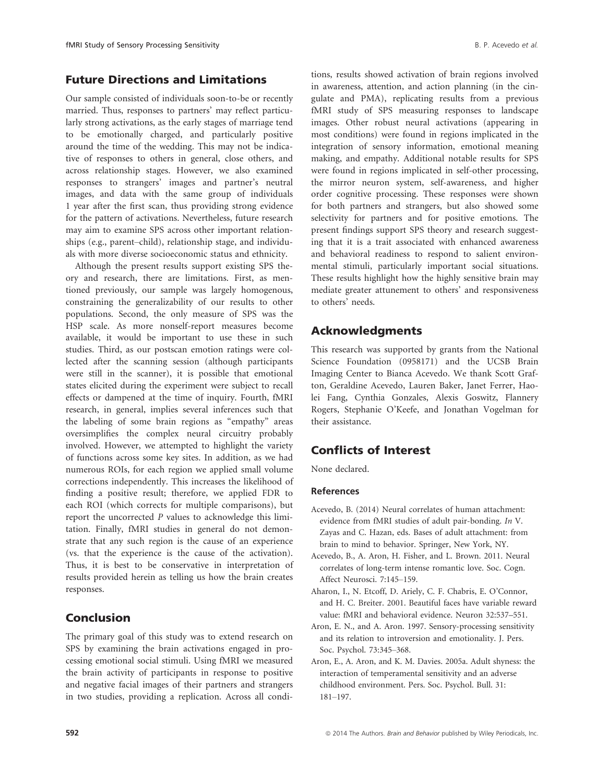## Future Directions and Limitations

Our sample consisted of individuals soon-to-be or recently married. Thus, responses to partners' may reflect particularly strong activations, as the early stages of marriage tend to be emotionally charged, and particularly positive around the time of the wedding. This may not be indicative of responses to others in general, close others, and across relationship stages. However, we also examined responses to strangers' images and partner's neutral images, and data with the same group of individuals 1 year after the first scan, thus providing strong evidence for the pattern of activations. Nevertheless, future research may aim to examine SPS across other important relationships (e.g., parent–child), relationship stage, and individuals with more diverse socioeconomic status and ethnicity.

Although the present results support existing SPS theory and research, there are limitations. First, as mentioned previously, our sample was largely homogenous, constraining the generalizability of our results to other populations. Second, the only measure of SPS was the HSP scale. As more nonself-report measures become available, it would be important to use these in such studies. Third, as our postscan emotion ratings were collected after the scanning session (although participants were still in the scanner), it is possible that emotional states elicited during the experiment were subject to recall effects or dampened at the time of inquiry. Fourth, fMRI research, in general, implies several inferences such that the labeling of some brain regions as "empathy" areas oversimplifies the complex neural circuitry probably involved. However, we attempted to highlight the variety of functions across some key sites. In addition, as we had numerous ROIs, for each region we applied small volume corrections independently. This increases the likelihood of finding a positive result; therefore, we applied FDR to each ROI (which corrects for multiple comparisons), but report the uncorrected P values to acknowledge this limitation. Finally, fMRI studies in general do not demonstrate that any such region is the cause of an experience (vs. that the experience is the cause of the activation). Thus, it is best to be conservative in interpretation of results provided herein as telling us how the brain creates responses.

## Conclusion

The primary goal of this study was to extend research on SPS by examining the brain activations engaged in processing emotional social stimuli. Using fMRI we measured the brain activity of participants in response to positive and negative facial images of their partners and strangers in two studies, providing a replication. Across all conditions, results showed activation of brain regions involved in awareness, attention, and action planning (in the cingulate and PMA), replicating results from a previous fMRI study of SPS measuring responses to landscape images. Other robust neural activations (appearing in most conditions) were found in regions implicated in the integration of sensory information, emotional meaning making, and empathy. Additional notable results for SPS were found in regions implicated in self-other processing, the mirror neuron system, self-awareness, and higher order cognitive processing. These responses were shown for both partners and strangers, but also showed some selectivity for partners and for positive emotions. The present findings support SPS theory and research suggesting that it is a trait associated with enhanced awareness and behavioral readiness to respond to salient environmental stimuli, particularly important social situations. These results highlight how the highly sensitive brain may mediate greater attunement to others' and responsiveness to others' needs.

## Acknowledgments

This research was supported by grants from the National Science Foundation (0958171) and the UCSB Brain Imaging Center to Bianca Acevedo. We thank Scott Grafton, Geraldine Acevedo, Lauren Baker, Janet Ferrer, Haolei Fang, Cynthia Gonzales, Alexis Goswitz, Flannery Rogers, Stephanie O'Keefe, and Jonathan Vogelman for their assistance.

## Conflicts of Interest

None declared.

## References

- Acevedo, B. (2014) Neural correlates of human attachment: evidence from fMRI studies of adult pair-bonding. In V. Zayas and C. Hazan, eds. Bases of adult attachment: from brain to mind to behavior. Springer, New York, NY.
- Acevedo, B., A. Aron, H. Fisher, and L. Brown. 2011. Neural correlates of long-term intense romantic love. Soc. Cogn. Affect Neurosci. 7:145–159.
- Aharon, I., N. Etcoff, D. Ariely, C. F. Chabris, E. O'Connor, and H. C. Breiter. 2001. Beautiful faces have variable reward value: fMRI and behavioral evidence. Neuron 32:537–551.
- Aron, E. N., and A. Aron. 1997. Sensory-processing sensitivity and its relation to introversion and emotionality. J. Pers. Soc. Psychol. 73:345–368.
- Aron, E., A. Aron, and K. M. Davies. 2005a. Adult shyness: the interaction of temperamental sensitivity and an adverse childhood environment. Pers. Soc. Psychol. Bull. 31: 181–197.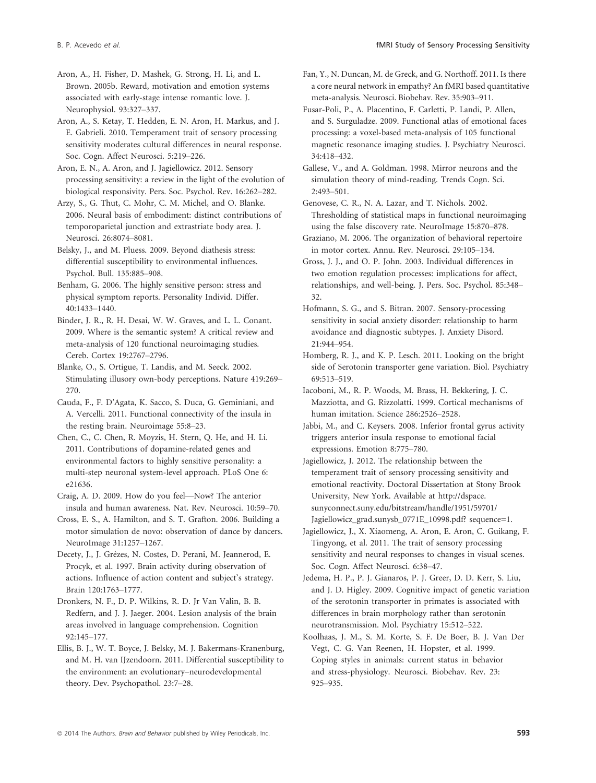Aron, A., H. Fisher, D. Mashek, G. Strong, H. Li, and L. Brown. 2005b. Reward, motivation and emotion systems associated with early-stage intense romantic love. J. Neurophysiol. 93:327–337.

Aron, A., S. Ketay, T. Hedden, E. N. Aron, H. Markus, and J. E. Gabrieli. 2010. Temperament trait of sensory processing sensitivity moderates cultural differences in neural response. Soc. Cogn. Affect Neurosci. 5:219–226.

Aron, E. N., A. Aron, and J. Jagiellowicz. 2012. Sensory processing sensitivity: a review in the light of the evolution of biological responsivity. Pers. Soc. Psychol. Rev. 16:262–282.

Arzy, S., G. Thut, C. Mohr, C. M. Michel, and O. Blanke. 2006. Neural basis of embodiment: distinct contributions of temporoparietal junction and extrastriate body area. J. Neurosci. 26:8074–8081.

Belsky, J., and M. Pluess. 2009. Beyond diathesis stress: differential susceptibility to environmental influences. Psychol. Bull. 135:885–908.

Benham, G. 2006. The highly sensitive person: stress and physical symptom reports. Personality Individ. Differ. 40:1433–1440.

Binder, J. R., R. H. Desai, W. W. Graves, and L. L. Conant. 2009. Where is the semantic system? A critical review and meta-analysis of 120 functional neuroimaging studies. Cereb. Cortex 19:2767–2796.

Blanke, O., S. Ortigue, T. Landis, and M. Seeck. 2002. Stimulating illusory own-body perceptions. Nature 419:269– 270.

Cauda, F., F. D'Agata, K. Sacco, S. Duca, G. Geminiani, and A. Vercelli. 2011. Functional connectivity of the insula in the resting brain. Neuroimage 55:8–23.

Chen, C., C. Chen, R. Moyzis, H. Stern, Q. He, and H. Li. 2011. Contributions of dopamine-related genes and environmental factors to highly sensitive personality: a multi-step neuronal system-level approach. PLoS One 6: e21636.

Craig, A. D. 2009. How do you feel—Now? The anterior insula and human awareness. Nat. Rev. Neurosci. 10:59–70.

Cross, E. S., A. Hamilton, and S. T. Grafton. 2006. Building a motor simulation de novo: observation of dance by dancers. NeuroImage 31:1257–1267.

Decety, J., J. Grèzes, N. Costes, D. Perani, M. Jeannerod, E. Procyk, et al. 1997. Brain activity during observation of actions. Influence of action content and subject's strategy. Brain 120:1763–1777.

Dronkers, N. F., D. P. Wilkins, R. D. Jr Van Valin, B. B. Redfern, and J. J. Jaeger. 2004. Lesion analysis of the brain areas involved in language comprehension. Cognition 92:145–177.

Ellis, B. J., W. T. Boyce, J. Belsky, M. J. Bakermans-Kranenburg, and M. H. van IJzendoorn. 2011. Differential susceptibility to the environment: an evolutionary–neurodevelopmental theory. Dev. Psychopathol. 23:7–28.

Fan, Y., N. Duncan, M. de Greck, and G. Northoff. 2011. Is there a core neural network in empathy? An fMRI based quantitative meta-analysis. Neurosci. Biobehav. Rev. 35:903–911.

Fusar-Poli, P., A. Placentino, F. Carletti, P. Landi, P. Allen, and S. Surguladze. 2009. Functional atlas of emotional faces processing: a voxel-based meta-analysis of 105 functional magnetic resonance imaging studies. J. Psychiatry Neurosci. 34:418–432.

Gallese, V., and A. Goldman. 1998. Mirror neurons and the simulation theory of mind-reading. Trends Cogn. Sci.  $2.493 - 501$ 

Genovese, C. R., N. A. Lazar, and T. Nichols. 2002. Thresholding of statistical maps in functional neuroimaging using the false discovery rate. NeuroImage 15:870–878.

Graziano, M. 2006. The organization of behavioral repertoire in motor cortex. Annu. Rev. Neurosci. 29:105–134.

Gross, J. J., and O. P. John. 2003. Individual differences in two emotion regulation processes: implications for affect, relationships, and well-being. J. Pers. Soc. Psychol. 85:348– 32.

Hofmann, S. G., and S. Bitran. 2007. Sensory-processing sensitivity in social anxiety disorder: relationship to harm avoidance and diagnostic subtypes. J. Anxiety Disord. 21:944–954.

Homberg, R. J., and K. P. Lesch. 2011. Looking on the bright side of Serotonin transporter gene variation. Biol. Psychiatry 69:513–519.

Iacoboni, M., R. P. Woods, M. Brass, H. Bekkering, J. C. Mazziotta, and G. Rizzolatti. 1999. Cortical mechanisms of human imitation. Science 286:2526–2528.

Jabbi, M., and C. Keysers. 2008. Inferior frontal gyrus activity triggers anterior insula response to emotional facial expressions. Emotion 8:775–780.

Jagiellowicz, J. 2012. The relationship between the temperament trait of sensory processing sensitivity and emotional reactivity. Doctoral Dissertation at Stony Brook University, New York. Available at http://dspace. sunyconnect.suny.edu/bitstream/handle/1951/59701/ Jagiellowicz\_grad.sunysb\_0771E\_10998.pdf? sequence=1.

Jagiellowicz, J., X. Xiaomeng, A. Aron, E. Aron, C. Guikang, F. Tingyong, et al. 2011. The trait of sensory processing sensitivity and neural responses to changes in visual scenes. Soc. Cogn. Affect Neurosci. 6:38–47.

Jedema, H. P., P. J. Gianaros, P. J. Greer, D. D. Kerr, S. Liu, and J. D. Higley. 2009. Cognitive impact of genetic variation of the serotonin transporter in primates is associated with differences in brain morphology rather than serotonin neurotransmission. Mol. Psychiatry 15:512–522.

Koolhaas, J. M., S. M. Korte, S. F. De Boer, B. J. Van Der Vegt, C. G. Van Reenen, H. Hopster, et al. 1999. Coping styles in animals: current status in behavior and stress-physiology. Neurosci. Biobehav. Rev. 23: 925–935.